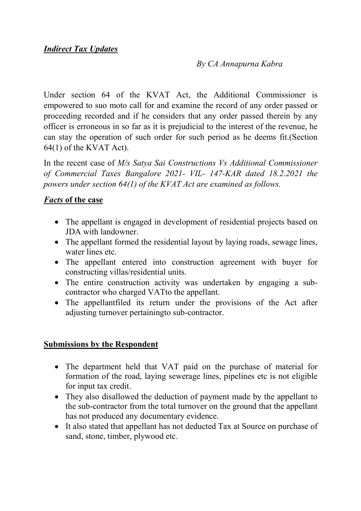#### *By CA Annapurna Kabra*

Under section 64 of the KVAT Act, the Additional Commissioner is empowered to suo moto call for and examine the record of any order passed or proceeding recorded and if he considers that any order passed therein by any officer is erroneous in so far as it is prejudicial to the interest of the revenue, he can stay the operation of such order for such period as he deems fit.(Section 64(1) of the KVAT Act).

In the recent case of *M/s Satya Sai Constructions Vs Additional Commissioner of Commercial Taxes Bangalore 2021- VIL- 147-KAR dated 18.2.2021 the powers under section 64(1) of the KVAT Act are examined as follows.* 

#### *Facts* **of the case**

- The appellant is engaged in development of residential projects based on JDA with landowner.
- The appellant formed the residential layout by laying roads, sewage lines, water lines etc.
- The appellant entered into construction agreement with buyer for constructing villas/residential units.
- The entire construction activity was undertaken by engaging a subcontractor who charged VATto the appellant.
- The appellantfiled its return under the provisions of the Act after adjusting turnover pertainingto sub-contractor.

## **Submissions by the Respondent**

- The department held that VAT paid on the purchase of material for formation of the road, laying sewerage lines, pipelines etc is not eligible for input tax credit.
- They also disallowed the deduction of payment made by the appellant to the sub-contractor from the total turnover on the ground that the appellant has not produced any documentary evidence.
- It also stated that appellant has not deducted Tax at Source on purchase of sand, stone, timber, plywood etc.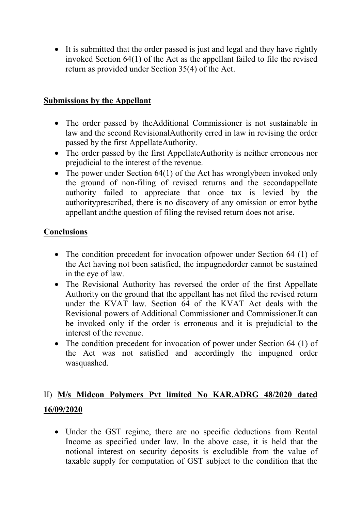• It is submitted that the order passed is just and legal and they have rightly invoked Section 64(1) of the Act as the appellant failed to file the revised return as provided under Section 35(4) of the Act.

## **Submissions by the Appellant**

- The order passed by theAdditional Commissioner is not sustainable in law and the second RevisionalAuthority erred in law in revising the order passed by the first AppellateAuthority.
- The order passed by the first AppellateAuthority is neither erroneous nor prejudicial to the interest of the revenue.
- The power under Section 64(1) of the Act has wronglybeen invoked only the ground of non-filing of revised returns and the secondappellate authority failed to appreciate that once tax is levied by the authorityprescribed, there is no discovery of any omission or error bythe appellant andthe question of filing the revised return does not arise.

## **Conclusions**

- The condition precedent for invocation of power under Section 64 (1) of the Act having not been satisfied, the impugnedorder cannot be sustained in the eye of law.
- The Revisional Authority has reversed the order of the first Appellate Authority on the ground that the appellant has not filed the revised return under the KVAT law. Section 64 of the KVAT Act deals with the Revisional powers of Additional Commissioner and Commissioner.It can be invoked only if the order is erroneous and it is prejudicial to the interest of the revenue.
- The condition precedent for invocation of power under Section 64 (1) of the Act was not satisfied and accordingly the impugned order wasquashed.

# II) **M/s Midcon Polymers Pvt limited No KAR.ADRG 48/2020 dated 16/09/2020**

• Under the GST regime, there are no specific deductions from Rental Income as specified under law. In the above case, it is held that the notional interest on security deposits is excludible from the value of taxable supply for computation of GST subject to the condition that the